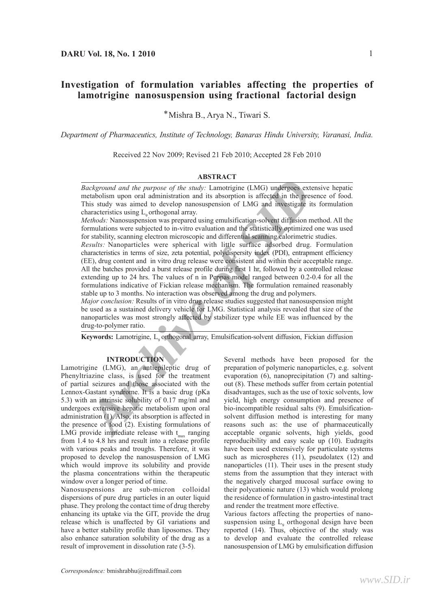# **Investigation of formulation variables affecting the properties of lamotrigine nanosuspension using fractional factorial design**

\*Mishra B., Arya N., Tiwari S.

*Department of Pharmaceutics, Institute of Technology, Banaras Hindu University, Varanasi, India.*

Received 22 Nov 2009; Revised 21 Feb 2010; Accepted 28 Feb 2010

#### **ABSTRACT**

*Background and the purpose of the study:* Lamotrigine (LMG) undergoes extensive hepatic metabolism upon oral administration and its absorption is affected in the presence of food. This study was aimed to develop nanosuspension of LMG and investigate its formulation characteristics using  $L_{\text{o}}$  orthogonal array.

*Methods:* Nanosuspension was prepared using emulsification-solvent diffusion method. All the formulations were subjected to in-vitro evaluation and the statistically optimized one was used for stability, scanning electron microscopic and differential scanning calorimetric studies.

*Archivet and the purpose of the suraly Archivet<br>
<i>ARCHIVET ARCHIVET CANG)* undergress extensive tetabolism upon oral administration and its absorption is affected in the presence his states study was aimed to develop an *Results:* Nanoparticles were spherical with little surface adsorbed drug. Formulation characteristics in terms of size, zeta potential, polydispersity index (PDI), entrapment efficiency (EE), drug content and in vitro drug release were consistent and within their acceptable range. All the batches provided a burst release profile during first 1 hr, followed by a controlled release extending up to 24 hrs. The values of n in Peppas model ranged between 0.2-0.4 for all the formulations indicative of Fickian release mechanism. The formulation remained reasonably stable up to 3 months. No interaction was observed among the drug and polymers.

*Major conclusion:* Results of in vitro drug release studies suggested that nanosuspension might be used as a sustained delivery vehicle for LMG. Statistical analysis revealed that size of the nanoparticles was most strongly affected by stabilizer type while EE was influenced by the drug-to-polymer ratio.

Keywords: Lamotrigine, L<sub>9</sub> orthogonal array, Emulsification-solvent diffusion, Fickian diffusion

## **INTRODUCTION**

Lamotrigine (LMG), an antiepileptic drug of Phenyltriazine class, is used for the treatment of partial seizures and those associated with the Lennox-Gastant syndrome. It is a basic drug (pKa 5.3) with an intrinsic solubility of 0.17 mg/ml and undergoes extensive hepatic metabolism upon oral administration (1). Also, its absorption is affected in the presence of food (2). Existing formulations of LMG provide immediate release with  $t_{max}$  ranging from 1.4 to 4.8 hrs and result into a release profile with various peaks and troughs. Therefore, it was proposed to develop the nanosuspension of LMG which would improve its solubility and provide the plasma concentrations within the therapeutic window over a longer period of time.

Nanosuspensions are sub-micron colloidal dispersions of pure drug particles in an outer liquid phase. They prolong the contact time of drug thereby enhancing its uptake via the GIT, provide the drug release which is unaffected by GI variations and have a better stability profile than liposomes. They also enhance saturation solubility of the drug as a result of improvement in dissolution rate (3-5).

Several methods have been proposed for the preparation of polymeric nanoparticles, e.g. solvent evaporation (6), nanoprecipitation (7) and saltingout (8). These methods suffer from certain potential disadvantages, such as the use of toxic solvents, low yield, high energy consumption and presence of bio-incompatible residual salts (9). Emulsificationsolvent diffusion method is interesting for many reasons such as: the use of pharmaceutically acceptable organic solvents, high yields, good reproducibility and easy scale up (10). Eudragits have been used extensively for particulate systems such as microspheres (11), pseudolatex (12) and nanoparticles (11). Their uses in the present study stems from the assumption that they interact with the negatively charged mucosal surface owing to their polycationic nature (13) which would prolong the residence of formulation in gastro-intestinal tract and render the treatment more effective.

Various factors affecting the properties of nanosuspension using  $L<sub>9</sub>$  orthogonal design have been reported (14). Thus, objective of the study was to develop and evaluate the controlled release nanosuspension of LMG by emulsification diffusion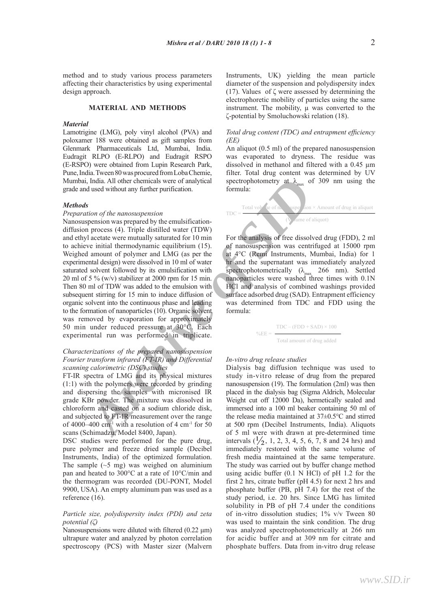method and to study various process parameters affecting their characteristics by using experimental design approach.

## **MATERIAL AND METHODS**

#### *Material*

Lamotrigine (LMG), poly vinyl alcohol (PVA) and poloxamer 188 were obtained as gift samples from Glenmark Pharmaceuticals Ltd, Mumbai, India. Eudragit RLPO (E-RLPO) and Eudragit RSPO (E-RSPO) were obtained from Lupin Research Park, Pune, India. Tween 80 was procured from Loba Chemie, Mumbai, India. All other chemicals were of analytical grade and used without any further purification.

#### *Methods*

## *Preparation of the nanosuspension*

*A*<sub>natio</sub>n dial other chemicals were of analytical<br>
spectrophotometry at  $\lambda_{\text{max}}$  of 309<br>
and used without any further purification.<br>
From the *nanosuspension*<br>
process (4). Triple distilled water (TDW)<br> *A* nocess (4). Nanosuspension was prepared by the emulsification- $\blacksquare$ diffusion process (4). Triple distilled water (TDW) and ethyl acetate were mutually saturated for 10 min to achieve initial thermodynamic equilibrium (15). Weighed amount of polymer and LMG (as per the a experimental design) were dissolved in 10 ml of water saturated solvent followed by its emulsification with 20 ml of 5 % (w/v) stabilizer at 2000 rpm for 15 min. Then 80 ml of TDW was added to the emulsion with subsequent stirring for 15 min to induce diffusion of organic solvent into the continuous phase and leading to the formation of nanoparticles (10). Organic solvent formula: was removed by evaporation for approximately 50 min under reduced pressure at 30°C. Each experimental run was performed in triplicate.

#### *Characterizations of the prepared nanosuspension Fourier transform infrared (FT-IR) and Differential scanning calorimetric (DSC) studies In vitro* **drug release studies:**

FT-IR spectra of LMG and its physical mixtures (1:1) with the polymers were recorded by grinding and dispersing the samples with micronised IR grade KBr powder. The mixture was dissolved in chloroform and casted on a sodium chloride disk, and subjected to FT-IR measurement over the range of 4000–400 cm<sup>-1</sup> with a resolution of 4 cm<sup>-1</sup> for 50 scans (Schimadzu, Model 8400, Japan).

DSC studies were performed for the pure drug, pure polymer and freeze dried sample (Decibel Instruments, India) of the optimized formulation. The sample  $(\sim 5 \text{ mg})$  was weighed on aluminium pan and heated to 300°C at a rate of 10°C/min and the thermogram was recorded (DU-PONT, Model 9900, USA). An empty aluminum pan was used as a reference (16).

## *Particle size, polydispersity index (PDI) and zeta potential (ζ)*

Nanosuspensions were diluted with filtered (0.22 μm) ultrapure water and analyzed by photon correlation spectroscopy (PCS) with Master sizer (Malvern

Instruments, UK) yielding the mean particle diameter of the suspension and polydispersity index (17). Values of  $\zeta$  were assessed by determining the electrophoretic mobility of particles using the same instrument. The mobility, u was converted to the ζ-potential by Smoluchowski relation (18).

# *Total drug content (TDC) and entrapment efficiency (EE)*

An aliquot (0.5 ml) of the prepared nanosuspension was evaporated to dryness. The residue was dissolved in methanol and filtered with a 0.45 µm filter. Total drug content was determined by UV spectrophotometry at  $\lambda_{\text{max}}$  of 309 nm using the formula:

$$
TDC = \frac{\text{Total vol} \cdot \text{ve of } \text{h}}{\text{A}} = \frac{\text{value of } \text{a}}{\text{A}} = \frac{\text{value of } \text{a}}{\text{A}} = \frac{\text{value of } \text{a}}{\text{A}} = \frac{\text{value of } \text{a}}{\text{A}} = \frac{\text{value of } \text{a}}{\text{A}} = \frac{\text{value of } \text{a}}{\text{A}} = \frac{\text{value of } \text{a}}{\text{A}} = \frac{\text{value of } \text{a}}{\text{A}} = \frac{\text{value of } \text{a}}{\text{A}} = \frac{\text{value of } \text{a}}{\text{A}} = \frac{\text{value of } \text{a}}{\text{A}} = \frac{\text{value of } \text{a}}{\text{A}} = \frac{\text{value of } \text{a}}{\text{A}} = \frac{\text{value of } \text{a}}{\text{A}} = \frac{\text{value of } \text{a}}{\text{A}} = \frac{\text{value of } \text{a}}{\text{A}} = \frac{\text{value of } \text{a}}{\text{A}} = \frac{\text{value of } \text{a}}{\text{A}} = \frac{\text{value of } \text{a}}{\text{A}} = \frac{\text{value of } \text{a}}{\text{A}} = \frac{\text{value of } \text{a}}{\text{A}} = \frac{\text{value of } \text{a}}{\text{A}} = \frac{\text{value of } \text{a}}{\text{A}} = \frac{\text{value of } \text{a}}{\text{A}} = \frac{\text{value of } \text{a}}{\text{A}} = \frac{\text{value of } \text{a}}{\text{A}} = \frac{\text{value of } \text{a}}{\text{A}} = \frac{\text{value of } \text{a}}{\text{A}} = \frac{\text{value of } \text{a}}{\text{A}} = \frac{\text{value of } \text{a}}{\text{A}} = \frac{\text{value of } \text{a}}{\text{A}} = \frac{\text{value of } \text{a}}{\text{A}} = \frac{\text{value of } \text{a}}{\text{A}} = \frac{\text{value of } \text{a}}{\text{A}} = \frac{\text{value of } \text{a}}{\text{A}} = \frac{\text{value of } \text{a}}{\text{A}} = \frac{\text{value of } \text{a}}{\text{A}} = \frac{\text{value of } \text{a}}{\text{A}} = \frac{\text{value of
$$

for 10 min For the analysis of free dissolved drug (FDD), 2 ml of nanosuspension was centrifuged at 15000 rpm at 4°C (Remi Instruments, Mumbai, India) for 1 ml of water he and the supernatant was immediately analyzed spectrophotometrically ( $\lambda_{\text{max}}$  266 nm). Settled for 15 min.  $\sim$  nanoparticles were washed three times with  $0.1N$ ulsion with **HCl** and analysis of combined washings provided surface adsorbed drug (SAD). Entrapment efficiency was determined from TDC and FDD using the formula: the formula:  $\alpha$ 

$$
\%EE = \frac{\text{TDC} - (\text{FDD} + \text{SAD}) \times 100}{\text{Total amount of drug added}}
$$

# Differential In-vitro drug release studies

Dialysis bag diffusion technique was used to study in-vitro release of drug from the prepared Dialysis bag diffusion technique was used to study in vitro release of drug from the by grinding nanosuspension (19). The formulation (2ml) was then ed IR placed in the dialysis bag (Sigma Aldrich, Molecular  $\frac{1}{\text{S}}$  issolved in  $\frac{1}{\text{S}}$  weight cut off 12000 Da), hermetically sealed and immersed in  $\frac{1}{\text{S}}$ oride disk, immersed into a 100 ml beaker containing 50 ml of the release media maintained at 37±0.5°C and stirred  $\text{cm}^{-1}$  for 50 at 500 rpm (Decibel Instruments, India). Aliquots of 5 ml were with drawn at pre-determined time pure drug, intervals  $(\frac{1}{2}, 1, 2, 3, 4, 5, 6, 7, 8 \text{ and } 24 \text{ hrs})$  and<br>e (Decibel immediately restored with the same volume of prmulation. fresh media maintained at the same temperature. The study was carried out by buffer change method  ${}^{\circ}$ C/min and using acidic buffer (0.1 N HCl) of pH 1.2 for the NT, Model first 2 hrs, citrate buffer (pH 4.5) for next 2 hrs and phosphate buffer (PB, pH 7.4) for the rest of the study period, i.e. 20 hrs. Since LMG has limited solubility in PB of pH 7.4 under the conditions of in-vitro dissolution studies; 1% v/v Tween 80 solubility in PB of pH 7.4 under the conditions<br>of in-vitro dissolution studies;  $1\%$  v/v Tween 80<br>was used to maintain the sink condition. The drug<br>was analyzed spectrophotometrically at 266 nm was analyzed spectrophotometrically at 266 nm for acidic buffer and at 309 nm for citrate and phosphate buffers. Data from in-vitro drug release  $\frac{1}{1}$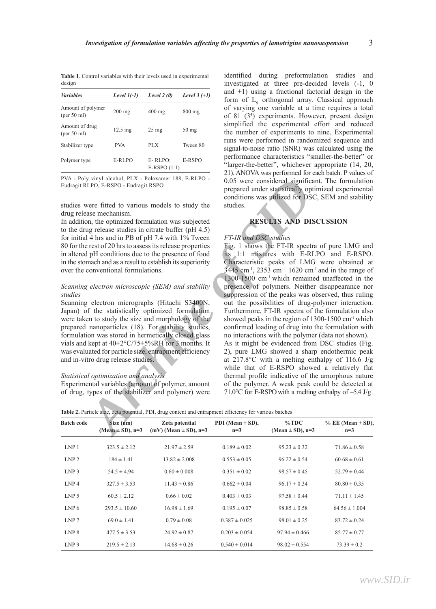| <b>Table 1.</b> Control variables with their levels used in experimental |  |
|--------------------------------------------------------------------------|--|
| design                                                                   |  |

| <b>Variables</b>                 | Level $1(-1)$     | Level $2(0)$             | Level $3 (+1)$   |
|----------------------------------|-------------------|--------------------------|------------------|
| Amount of polymer<br>(per 50 ml) | $200$ mg          | $400 \text{ mg}$         | $800 \text{ mg}$ |
| Amount of drug<br>(per 50 ml)    | $12.5 \text{ mg}$ | $25 \text{ mg}$          | $50 \text{ mg}$  |
| Stabilizer type                  | <b>PVA</b>        | PLX                      | Tween 80         |
| Polymer type                     | E-RLPO            | E-RLPO:<br>$E-RSPO(1:1)$ | E-RSPO           |

PVA - Poly vinyl alcohol, PLX - Poloxamer 188, E-RLPO - Eudragit RLPO, E-RSPO - Eudragit RSPO

studies were fitted to various models to study the drug release mechanism.

In addition, the optimized formulation was subjected to the drug release studies in citrate buffer (pH 4.5) for initial 4 hrs and in PB of pH 7.4 with 1% Tween 80 for the rest of 20 hrs to assess its release properties in altered pH conditions due to the presence of food in the stomach and as a result to establish its superiority over the conventional formulations.

## *Scanning electron microscopic (SEM) and stability studies*

Scanning electron micrographs (Hitachi S3400N, Japan) of the statistically optimized formulation were taken to study the size and morphology of the prepared nanoparticles (18). For stability studies, formulation was stored in hermetically closed glass vials and kept at 40±2°C/75±5%RH for 3 months. It was evaluated for particle size, entrapment efficiency and in-vitro drug release studies.

## *Statistical optimization and analysis*

Experimental variables (amount of polymer, amount of drug, types of the stabilizer and polymer) were identified during preformulation studies and investigated at three pre-decided levels (-1, 0 and  $+1$ ) using a fractional factorial design in the form of  $L_{\alpha}$  orthogonal array. Classical approach form of  $\mathbb{Z}_9^6$  examples at a time requires a total of 81 (3 4 ) experiments. However, present design simplified the experimental effort and reduced the number of experiments to nine. Experimental runs were performed in randomized sequence and signal-to-noise ratio (SNR) was calculated using the performance characteristics "smaller-the-better" or "larger-the-better", whichever appropriate (14, 20, 21). ANOVA was performed for each batch. P values of 0.05 were considered significant. The formulation prepared under statistically optimized experimental conditions was utilized for DSC, SEM and stability studies.

# **RESULTS AND DISCUSSION**

## *FT-IR and DSC studies*

*y* smyl alcohol, *PLX* - Foloxamer 18s, E-RLPO - 005 were considered significant.<br> *ARFO* - Eudragit RSPO - endeaging RSPO - propared under startistically optimize<br>
were fitted to various models to study the studies.<br> *A* Fig. 1 shows the FT-IR spectra of pure LMG and its 1:1 mixtures with E-RLPO and E-RSPO. Characteristic peaks of LMG were obtained at  $3445$  cm<sup>-1</sup>, 2353 cm<sup>-1</sup> 1620 cm<sup>-1</sup> and in the range of 1300-1500 cm-1 which remained unaffected in the presence of polymers. Neither disappearance nor suppression of the peaks was observed, thus ruling out the possibilities of drug-polymer interaction. Furthermore, FT-IR spectra of the formulation also showed peaks in the region of  $1300-1500$  cm<sup>-1</sup> which confirmed loading of drug into the formulation with no interactions with the polymer (data not shown). As it might be evidenced from DSC studies (Fig. 2), pure LMG showed a sharp endothermic peak at 217.8 $\degree$ C with a melting enthalpy of 116.6 J/g while that of E-RSPO showed a relatively flat thermal profile indicative of the amorphous nature of the polymer. A weak peak could be detected at 71.0°C for E-RSPO with a melting enthalpy of –5.4 J/g.

| <b>Batch code</b> | Size (nm)<br>$(Mean \pm SD)$ , n=3 | Zeta potential<br>$(mV)$ (Mean $\pm$ SD), n=3 | PDI (Mean $\pm$ SD),<br>$n=3$ | $\%$ TDC<br>(Mean $\pm$ SD), n=3 | $% EE (Mean \pm SD),$<br>$n=3$ |  |
|-------------------|------------------------------------|-----------------------------------------------|-------------------------------|----------------------------------|--------------------------------|--|
| LNP <sub>1</sub>  | $323.5 \pm 2.12$                   | $21.97 \pm 2.59$                              | $0.189 \pm 0.02$              | $95.23 \pm 0.32$                 | $71.86 \pm 0.58$               |  |
| LNP <sub>2</sub>  | $184 \pm 1.41$                     | $13.82 \pm 2.008$                             | $0.553 \pm 0.05$              | $96.22 \pm 0.54$                 | $60.68 \pm 0.61$               |  |
| LNP <sub>3</sub>  | $54.5 \pm 4.94$                    | $0.60 \pm 0.008$                              | $0.351 \pm 0.02$              | $98.57 \pm 0.45$                 | $52.79 \pm 0.44$               |  |
| LNP <sub>4</sub>  | $327.5 \pm 3.53$                   | $11.43 \pm 0.86$                              | $0.662 \pm 0.04$              | $96.17 \pm 0.34$                 | $80.80 \pm 0.35$               |  |
| LNP <sub>5</sub>  | $60.5 \pm 2.12$                    | $0.66 \pm 0.02$                               | $0.403 \pm 0.03$              | $97.58 \pm 0.44$                 | $71.11 \pm 1.45$               |  |
| LNP <sub>6</sub>  | $293.5 \pm 10.60$                  | $16.98 \pm 1.69$                              | $0.195 \pm 0.07$              | $98.85 \pm 0.58$                 | $64.56 \pm 1.004$              |  |
| LNP <sub>7</sub>  | $69.0 \pm 1.41$                    | $0.79 \pm 0.08$                               | $0.387 \pm 0.025$             | $98.01 \pm 0.25$                 | $83.72 \pm 0.24$               |  |
| LNP <sub>8</sub>  | $477.5 \pm 3.53$                   | $24.92 \pm 0.87$                              | $0.203 \pm 0.054$             | $97.94 \pm 0.466$                | $85.77 \pm 0.77$               |  |
| LNP <sub>9</sub>  | $219.5 \pm 2.13$                   | $14.68 \pm 0.26$                              | $0.540 \pm 0.014$             | $98.02 \pm 0.554$                | $73.39 \pm 0.2$                |  |

**Table 2.** Particle size, zeta potential, PDI, drug content and entrapment efficiency for various batches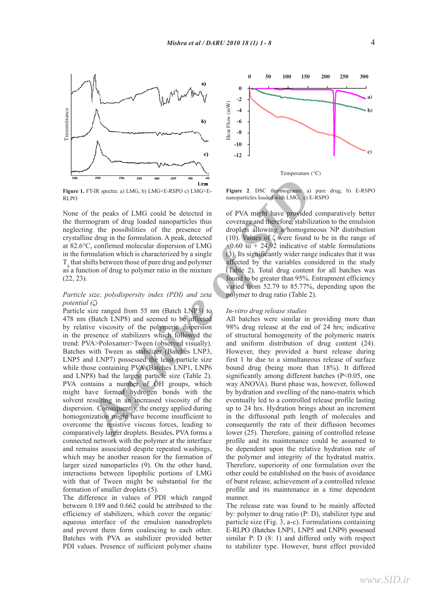

**Figure 1.** FT-IR spectra: a) LMG, b) LMG+E-RSPO c) LMG+E-RLPO

None of the peaks of LMG could be detected in the thermogram of drug loaded nanoparticles thus neglecting the possibilities of the presence of crystalline drug in the formulation. A peak, detected at 82.6°C, confirmed molecular dispersion of LMG in the formulation which is characterized by a single  $T_g$  that shifts between those of pure drug and polymer as a function of drug to polymer ratio in the mixture (22, 23).

# *Particle size, polydispersity index (PDI) and zeta potential (ζ)*

*Archive Since 1* **Archive Constraines** and **EVALUATION** and the particle is a since the particle in the particle is the particle by a since particle is the particle of the particle of the presence of droplets allowing a h Particle size ranged from 55 nm (Batch LNP3) to 478 nm (Batch LNP8) and seemed to be affected by relative viscosity of the polymeric dispersion in the presence of stabilizers which followed the trend: PVA>Poloxamer>Tween (observed visually). Batches with Tween as stabilizer (Batches LNP3, LNP5 and LNP7) possessed the least particle size while those containing PVA (Batches LNP1, LNP6 and LNP8) had the largest particle size (Table 2). PVA contains a number of OH groups, which might have formed hydrogen bonds with the solvent resulting in an increased viscosity of the dispersion. Consequently, the energy applied during homogenization might have become insufficient to overcome the resistive viscous forces, leading to comparatively larger droplets. Besides, PVA forms a connected network with the polymer at the interface and remains associated despite repeated washings, which may be another reason for the formation of larger sized nanoparticles (9). On the other hand, interactions between lipophilic portions of LMG with that of Tween might be substantial for the formation of smaller droplets (5).

The difference in values of PDI which ranged between 0.189 and 0.662 could be attributed to the efficiency of stabilizers, which cover the organic/ aqueous interface of the emulsion nanodroplets and prevent them form coalescing to each other. Batches with PVA as stabilizer provided better PDI values. Presence of sufficient polymer chains



**FIGURE 1999** LMG+E-**RSPO** c) LMG+E-<br>**Figure 2.** DSC thermograms: a) pure drug, b) E-RSPO nanoparticles loaded with LMG, c) E-RSPO

of PVA might have provided comparatively better coverage and therefore, stabilization to the emulsion droplets allowing a homogeneous NP distribution (10). Values of ζ were found to be in the range of  $+0.60$  to  $+ 24.92$  indicative of stable formulations (3). Its significantly wider range indicates that it was affected by the variables considered in the study (Table 2). Total drug content for all batches was found to be greater than 95%. Entrapment efficiency varied from 52.79 to 85.77%, depending upon the polymer to drug ratio (Table 2).

## *In-vitro drug release studies*

All batches were similar in providing more than 98% drug release at the end of 24 hrs; indicative of structural homogeneity of the polymeric matrix and uniform distribution of drug content (24). However, they provided a burst release during first 1 hr due to a simultaneous release of surface bound drug (being more than 18%). It differed significantly among different batches (P<0.05, one way ANOVA). Burst phase was, however, followed by hydration and swelling of the nano-matrix which eventually led to a controlled release profile lasting up to 24 hrs. Hydration brings about an increment in the diffusional path length of molecules and consequently the rate of their diffusion becomes lower (25). Therefore, gaining of controlled release profile and its maintenance could be assumed to be dependent upon the relative hydration rate of the polymer and integrity of the hydrated matrix. Therefore, superiority of one formulation over the other could be established on the basis of avoidance of burst release, achievement of a controlled release profile and its maintenance in a time dependent manner.

The release rate was found to be mainly affected by: polymer to drug ratio (P: D), stabilizer type and particle size (Fig. 3, a-c). Formulations containing E-RLPO (Batches LNP1, LNP5 and LNP9) possessed similar P: D (8: 1) and differed only with respect to stabilizer type. However, burst effect provided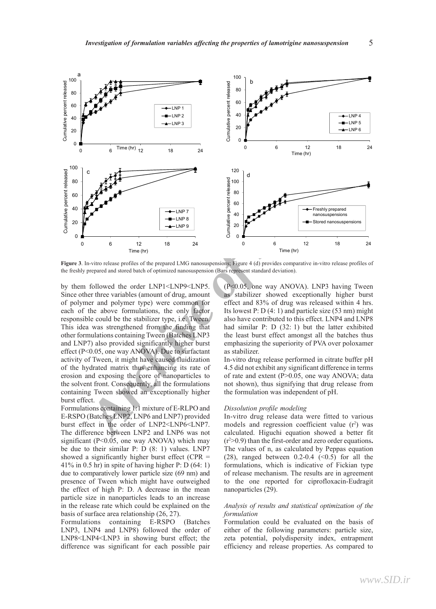

**Figure 3**. In-vitro release profiles of the prepared LMG nanosuspensions; Figure 4 (d) provides comparative in-vitro release profiles of the freshly prepared and stored batch of optimized nanosuspension (Bars represent standard deviation).

by them followed the order LNP1<LNP9<LNP5. Since other three variables (amount of drug, amount of polymer and polymer type) were common for each of the above formulations, the only factor responsible could be the stabilizer type, i.e. Tween. This idea was strengthened from the finding that other formulations containing Tween (Batches LNP3 and LNP7) also provided significantly higher burst effect (P<0.05, one way ANOVA). Due to surfactant activity of Tween, it might have caused fluidization of the hydrated matrix thus enhancing its rate of erosion and exposing the core of nanoparticles to the solvent front. Consequently, all the formulations containing Tween showed an exceptionally higher burst effect.

Formulations containing 1:1 mixture of E-RLPO and E-RSPO (Batches LNP2, LNP6 and LNP7) provided burst effect in the order of LNP2<LNP6<LNP7. The difference between LNP2 and LNP6 was not significant ( $P \le 0.05$ , one way ANOVA) which may be due to their similar P: D (8: 1) values. LNP7 showed a significantly higher burst effect ( $CPR =$ 41% in 0.5 hr) in spite of having higher P: D (64: 1) due to comparatively lower particle size (69 nm) and presence of Tween which might have outweighed the effect of high P: D. A decrease in the mean particle size in nanoparticles leads to an increase in the release rate which could be explained on the basis of surface area relationship (26, 27).

Formulations containing E-RSPO (Batches LNP3, LNP4 and LNP8) followed the order of LNP8<LNP4<LNP3 in showing burst effect; the difference was significant for each possible pair

(P<0.05, one way ANOVA). LNP3 having Tween as stabilizer showed exceptionally higher burst effect and 83% of drug was released within 4 hrs. Its lowest P:  $D(4:1)$  and particle size (53 nm) might also have contributed to this effect. LNP4 and LNP8 had similar P: D (32: 1) but the latter exhibited the least burst effect amongst all the batches thus emphasizing the superiority of PVA over poloxamer as stabilizer.

In-vitro drug release performed in citrate buffer pH 4.5 did not exhibit any significant difference in terms of rate and extent (P>0.05, one way ANOVA; data not shown), thus signifying that drug release from the formulation was independent of pH.

#### *Dissolution profile modeling*

In-vitro drug release data were fitted to various models and regression coefficient value  $(r^2)$  was calculated. Higuchi equation showed a better fit (r 2 >0.9) than the first-order and zero order equations**.**  The values of n, as calculated by Peppas equation (28), ranged between  $0.2-0.4$  (<0.5) for all the formulations, which is indicative of Fickian type of release mechanism. The results are in agreement to the one reported for ciprofloxacin-Eudragit nanoparticles (29).

## *Analysis of results and statistical optimization of the formulation*

Formulation could be evaluated on the basis of either of the following parameters: particle size, zeta potential, polydispersity index, entrapment efficiency and release properties. As compared to

5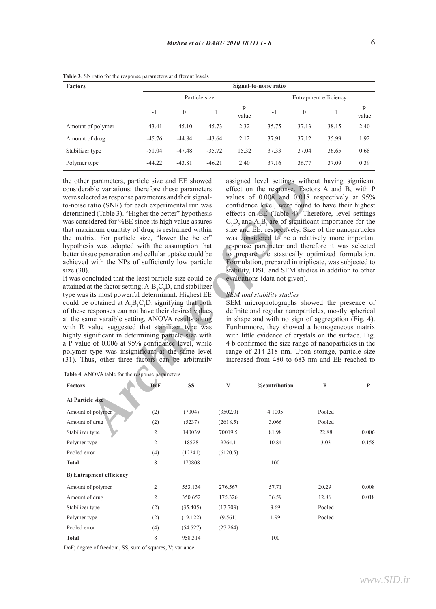| <b>Factors</b>    |          | Signal-to-noise ratio |          |            |       |          |                       |            |
|-------------------|----------|-----------------------|----------|------------|-------|----------|-----------------------|------------|
|                   |          | Particle size         |          |            |       |          | Entrapment efficiency |            |
|                   | $-1$     | $\mathbf{0}$          | $+1$     | R<br>value | $-1$  | $\Omega$ | $+1$                  | R<br>value |
| Amount of polymer | $-43.41$ | $-45.10$              | $-45.73$ | 2.32       | 35.75 | 37.13    | 38.15                 | 2.40       |
| Amount of drug    | $-45.76$ | $-44.84$              | $-43.64$ | 2.12       | 37.91 | 37.12    | 35.99                 | 1.92       |
| Stabilizer type   | $-51.04$ | $-47.48$              | $-35.72$ | 15.32      | 37.33 | 37.04    | 36.65                 | 0.68       |
| Polymer type      | $-44.22$ | $-43.81$              | $-46.21$ | 2.40       | 37.16 | 36.77    | 37.09                 | 0.39       |

**Table 3**. SN ratio for the response parameters at different levels

the other parameters, particle size and EE showed considerable variations; therefore these parameters were selected as response parameters and their signalto-noise ratio (SNR) for each experimental run was determined (Table 3). "Higher the better" hypothesis was considered for %EE since its high value assures that maximum quantity of drug is restrained within the matrix. For particle size, "lower the better" hypothesis was adopted with the assumption that better tissue penetration and cellular uptake could be achieved with the NPs of sufficiently low particle size (30).

It was concluded that the least particle size could be attained at the factor setting;  $A_1B_3C_3D_2$  and stabilizer type was its most powerful determinant. Highest EE could be obtained at  $A_3B_1C_1D_1$  signifying that both of these responses can not have their desired values at the same varaible setting. ANOVA results along with R value suggested that stabilizer type was highly significant in determining particle size with a P value of 0.006 at 95% confidance level, while polymer type was insignificant at the same level (31). Thus, other three factors can be arbitrarily

assigned level settings without having signiicant effect on the response. Factors A and B, with P values of 0.008 and 0.018 respectively at 95% confidence level, were found to have their highest<br>effects on EE (Table 4). Therefore, level settings  $C_1D_2$  and A<sub>3</sub>B<sub>1</sub> are of significant importance for the size and EE, respectively. Size of the nanoparticles was considered to be a relatively more important response parameter and therefore it was selected to prepare the stastically optimized formulation. Formulation, prepared in triplicate, was subjected to stability, DSC and SEM studies in addition to other evaluations (data not given).

#### *SEM and stability studies*

SEM microphotographs showed the presence of definite and regular nanoparticles, mostly spherical in shape and with no sign of aggregation (Fig. 4). Furthurmore, they showed a homogeneous matrix with little evidence of crystals on the surface. Fig. 4 b confirmed the size range of nanoparticles in the range of 214-218 nm. Upon storage, particle size increased from 480 to 683 nm and EE reached to

*T* parameters, particle size and EE showed<br>
and expariments, particle is the sixe and EE showed assessme and EE showed and their signal<br>
excels archive of 0.008 and 0.018 response parameters and their signal-<br>
archive of **Factors DoF SS V %contribution F P A) Particle size** Amount of polymer (2) (7004) (3502.0) 4.1005 Pooled Amount of drug (2) (5237) (2618.5) 3.066 Pooled Stabilizer type 2 140039 70019.5 81.98 22.88 0.006 Polymer type 2 18528 9264.1 10.84 3.03 0.158 Pooled error (4) (12241) (6120.5) **Total** 8 170808 100 **B) Entrapment efficiency** Amount of polymer 2 553.134 276.567 57.71 20.29 0.008 Amount of drug 2 350.652 175.326 36.59 12.86 0.018 Stabilizer type (2) (35.405) (17.703) 3.69 Pooled Polymer type (2) (19.122) (9.561) 1.99 Pooled Pooled error (4) (54.527) (27.264) **Total** 8 958.314 100 **Table 4**. ANOVA table for the response parameters

DoF; degree of freedom, SS; sum of squares, V; variance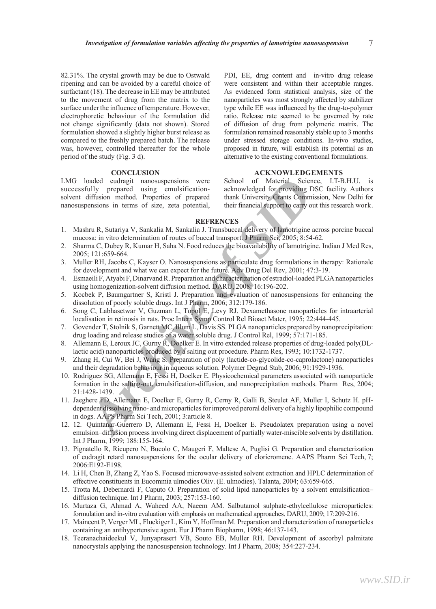82.31%. The crystal growth may be due to Ostwald ripening and can be avoided by a careful choice of surfactant (18). The decrease in EE may be attributed to the movement of drug from the matrix to the surface under the influence of temperature. However, electrophoretic behaviour of the formulation did not change significantly (data not shown). Stored formulation showed a slightly higher burst release as compared to the freshly prepared batch. The release was, however, controlled thereafter for the whole period of the study (Fig. 3 d).

# **CONCLUSION**

LMG loaded eudragit nanosuspensions were successfully prepared using emulsificationsolvent diffusion method. Properties of prepared nanosuspensions in terms of size, zeta potential, PDI, EE, drug content and in-vitro drug release were consistent and within their acceptable ranges. As evidenced form statistical analysis, size of the nanoparticles was most strongly affected by stabilizer type while EE was influenced by the drug-to-polymer ratio. Release rate seemed to be governed by rate of diffusion of drug from polymeric matrix. The formulation remained reasonably stable up to 3 months under stressed storage conditions. In-vivo studies, proposed in future, will establish its potential as an alternative to the existing conventional formulations.

# **ACKNOWLEDGEMENTS**

School of Material Science, I.T-B.H.U. is acknowledged for providing DSC facility. Authors thank University Grants Commission, New Delhi for their financial support to carry out this research work.

#### **Refrences**

- 1. Mashru R, Sutariya V, Sankalia M, Sankalia J. Transbuccal delivery of lamotrigine across porcine buccal mucosa: in vitro determination of routes of buccal transport. J Pharm Sci, 2005; 8:54-62.
- 2. Sharma C, Dubey R, Kumar H, Saha N. Food reduces the bioavailability of lamotrigine. Indian J Med Res, 2005; 121:659-664.
- 3. Muller RH, Jacobs C, Kayser O. Nanosuspensions as particulate drug formulations in therapy: Rationale for development and what we can expect for the future. Adv Drug Del Rev, 2001; 47:3-19.
- 4. Esmaeili F, Atyabi F, Dinarvand R. Preparation and characterization of estradiol-loaded PLGA nanoparticles using homogenization-solvent diffusion method. DARU, 2008; 16:196-202.
- 5. Kocbek P, Baumgartner S, Kristl J. Preparation and evaluation of nanosuspensions for enhancing the dissolution of poorly soluble drugs. Int J Pharm, 2006; 312:179-186.
- 6. Song C, Labhasetwar V, Guzman L, Topol E, Levy RJ. Dexamethasone nanoparticles for intraarterial localisation in retinosis in rats. Proc Intern Symp Control Rel Bioact Mater, 1995; 22:444-445.
- 7. Govender T, Stolnik S, Garnett MC, Illum L, Davis SS. PLGA nanoparticles prepared by nanoprecipitation: drug loading and release studies of a water soluble drug. J Control Rel, 1999; 57:171-185.
- 8. Allemann E, Leroux JC, Gurny R, Doelker E. In vitro extended release properties of drug-loaded poly(DLlactic acid) nanoparticles produced by a salting out procedure. Pharm Res, 1993; 10:1732-1737.
- 9. Zhang H, Cui W, Bei J, Wang S. Preparation of poly (lactide-co-glycolide-co-caprolactone) nanoparticles and their degradation behaviour in aqueous solution. Polymer Degrad Stab, 2006; 91:1929-1936.
- oadd education internosypersions were School of Material Science, the SID and columbing pDSC of the sign emulstification acknowledged for providing DSC diffusion method. Properties of prepared thank University Grants Commi 10. Rodriguez SG, Allemann E, Fessi H, Doelker E. Physicochemical parameters associated with nanoparticle formation in the salting-out, emulsification-diffusion, and nanoprecipitation methods. Pharm Res, 2004; 21:1428-1439.
- 11. Jaeghere FD, Allemann E, Doelker E, Gurny R, Cerny R, Galli B, Steulet AF, Muller I, Schutz H. pHdependent dissolving nano- and microparticles for improved peroral delivery of a highly lipophilic compound in dogs. AAPS Pharm Sci Tech, 2001; 3:article 8.
- 12. 12. Quintanar-Guerrero D, Allemann E, Fessi H, Doelker E. Pseudolatex preparation using a novel emulsion–diffusion process involving direct displacement of partially water-miscible solvents by distillation. Int J Pharm, 1999; 188:155-164.
- 13. Pignatello R, Ricupero N, Bucolo C, Maugeri F, Maltese A, Puglisi G. Preparation and characterization of eudragit retard nanosuspensions for the ocular delivery of cloricromene. AAPS Pharm Sci Tech, 7; 2006:E192-E198.
- 14. Li H, Chen B, Zhang Z, Yao S. Focused microwave-assisted solvent extraction and HPLC determination of effective constituents in Eucommia ulmodies Oliv. (E. ulmodies). Talanta, 2004; 63:659-665.
- 15. Trotta M, Debernardi F, Caputo O. Preparation of solid lipid nanoparticles by a solvent emulsification– diffusion technique. Int J Pharm, 2003; 257:153-160.
- 16. Murtaza G, Ahmad A, Waheed AA, Naeem AM. Salbutamol sulphate-ethylcellulose microparticles: formulation and in-vitro evaluation with emphasis on mathematical approaches. DARU, 2009; 17:209-216.
- 17. Maincent P, Verger ML, Fluckiger L, Kim Y, Hoffman M. Preparation and characterization of nanoparticles containing an antihypertensive agent. Eur J Pharm Biopharm, 1998; 46:137-143.
- 18. Teeranachaideekul V, Junyaprasert VB, Souto EB, Muller RH. Development of ascorbyl palmitate nanocrystals applying the nanosuspension technology. Int J Pharm, 2008; 354:227-234.